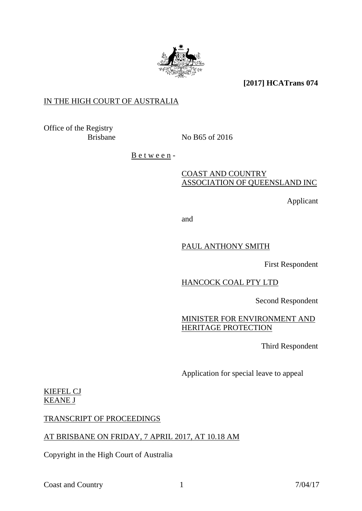

**[2017] HCATrans 074**

## IN THE HIGH COURT OF AUSTRALIA

Office of the Registry

Brisbane No B65 of 2016

 $B$  e t w e e n -

## COAST AND COUNTRY ASSOCIATION OF QUEENSLAND INC

Applicant

and

## PAUL ANTHONY SMITH

First Respondent

# HANCOCK COAL PTY LTD

Second Respondent

# MINISTER FOR ENVIRONMENT AND HERITAGE PROTECTION

Third Respondent

Application for special leave to appeal

#### KIEFEL CJ KEANE J

#### TRANSCRIPT OF PROCEEDINGS

# AT BRISBANE ON FRIDAY, 7 APRIL 2017, AT 10.18 AM

Copyright in the High Court of Australia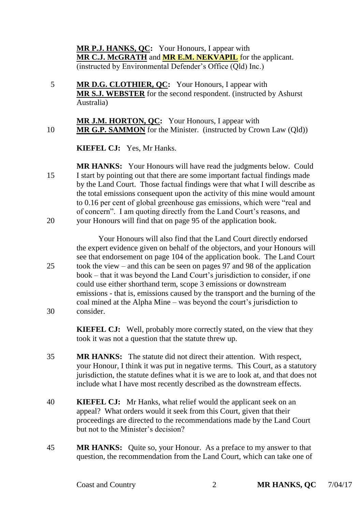**MR P.J. HANKS, QC:** Your Honours, I appear with **MR C.J. McGRATH** and **MR E.M. NEKVAPIL** for the applicant. (instructed by Environmental Defender's Office (Qld) Inc.)

5 **MR D.G. CLOTHIER, QC:** Your Honours, I appear with **MR S.J. WEBSTER** for the second respondent. (instructed by Ashurst Australia)

**MR J.M. HORTON, QC:** Your Honours, I appear with 10 **MR G.P. SAMMON** for the Minister. (instructed by Crown Law (Qld))

**KIEFEL CJ:** Yes, Mr Hanks.

**MR HANKS:** Your Honours will have read the judgments below. Could 15 I start by pointing out that there are some important factual findings made by the Land Court. Those factual findings were that what I will describe as the total emissions consequent upon the activity of this mine would amount to 0.16 per cent of global greenhouse gas emissions, which were "real and of concern". I am quoting directly from the Land Court's reasons, and 20 your Honours will find that on page 95 of the application book.

Your Honours will also find that the Land Court directly endorsed the expert evidence given on behalf of the objectors, and your Honours will see that endorsement on page 104 of the application book. The Land Court 25 took the view – and this can be seen on pages 97 and 98 of the application book – that it was beyond the Land Court's jurisdiction to consider, if one could use either shorthand term, scope 3 emissions or downstream emissions - that is, emissions caused by the transport and the burning of the coal mined at the Alpha Mine – was beyond the court's jurisdiction to 30 consider.

> **KIEFEL CJ:** Well, probably more correctly stated, on the view that they took it was not a question that the statute threw up.

- 35 **MR HANKS:** The statute did not direct their attention. With respect, your Honour, I think it was put in negative terms. This Court, as a statutory jurisdiction, the statute defines what it is we are to look at, and that does not include what I have most recently described as the downstream effects.
- 40 **KIEFEL CJ:** Mr Hanks, what relief would the applicant seek on an appeal? What orders would it seek from this Court, given that their proceedings are directed to the recommendations made by the Land Court but not to the Minister's decision?
- 45 **MR HANKS:** Quite so, your Honour. As a preface to my answer to that question, the recommendation from the Land Court, which can take one of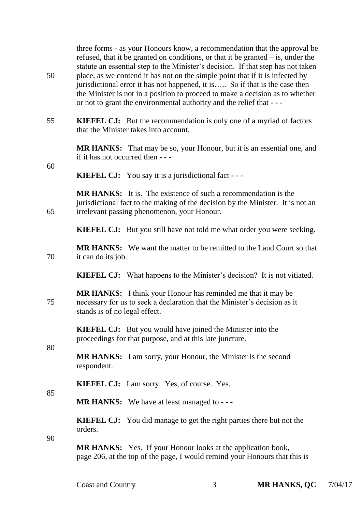three forms - as your Honours know, a recommendation that the approval be refused, that it be granted on conditions, or that it be granted – is, under the statute an essential step to the Minister's decision. If that step has not taken 50 place, as we contend it has not on the simple point that if it is infected by jurisdictional error it has not happened, it is….. So if that is the case then the Minister is not in a position to proceed to make a decision as to whether or not to grant the environmental authority and the relief that - - -

55 **KIEFEL CJ:** But the recommendation is only one of a myriad of factors that the Minister takes into account.

> **MR HANKS:** That may be so, your Honour, but it is an essential one, and if it has not occurred then - - -

60

**KIEFEL CJ:** You say it is a jurisdictional fact - - -

**MR HANKS:** It is. The existence of such a recommendation is the jurisdictional fact to the making of the decision by the Minister. It is not an 65 irrelevant passing phenomenon, your Honour.

**KIEFEL CJ:** But you still have not told me what order you were seeking.

**MR HANKS:** We want the matter to be remitted to the Land Court so that 70 it can do its job.

**KIEFEL CJ:** What happens to the Minister's decision? It is not vitiated.

**MR HANKS:** I think your Honour has reminded me that it may be 75 necessary for us to seek a declaration that the Minister's decision as it stands is of no legal effect.

> **KIEFEL CJ:** But you would have joined the Minister into the proceedings for that purpose, and at this late juncture.

**MR HANKS:** I am sorry, your Honour, the Minister is the second respondent.

**KIEFEL CJ:** I am sorry. Yes, of course. Yes.

**MR HANKS:** We have at least managed to - - -

**KIEFEL CJ:** You did manage to get the right parties there but not the orders.

90

80

85

**MR HANKS:** Yes. If your Honour looks at the application book, page 206, at the top of the page, I would remind your Honours that this is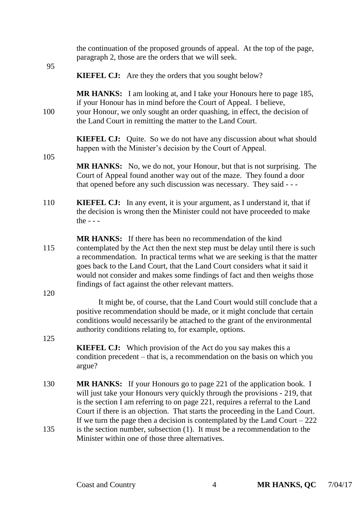| 95         | the continuation of the proposed grounds of appeal. At the top of the page,<br>paragraph 2, those are the orders that we will seek.                                                                                                                                                                                                                                                                                                               |
|------------|---------------------------------------------------------------------------------------------------------------------------------------------------------------------------------------------------------------------------------------------------------------------------------------------------------------------------------------------------------------------------------------------------------------------------------------------------|
|            | <b>KIEFEL CJ:</b> Are they the orders that you sought below?                                                                                                                                                                                                                                                                                                                                                                                      |
| 100        | <b>MR HANKS:</b> I am looking at, and I take your Honours here to page 185,<br>if your Honour has in mind before the Court of Appeal. I believe,<br>your Honour, we only sought an order quashing, in effect, the decision of<br>the Land Court in remitting the matter to the Land Court.                                                                                                                                                        |
| 105        | <b>KIEFEL CJ:</b> Quite. So we do not have any discussion about what should<br>happen with the Minister's decision by the Court of Appeal.                                                                                                                                                                                                                                                                                                        |
|            | <b>MR HANKS:</b> No, we do not, your Honour, but that is not surprising. The<br>Court of Appeal found another way out of the maze. They found a door<br>that opened before any such discussion was necessary. They said - - -                                                                                                                                                                                                                     |
| 110        | <b>KIEFEL CJ:</b> In any event, it is your argument, as I understand it, that if<br>the decision is wrong then the Minister could not have proceeded to make<br>the $ -$                                                                                                                                                                                                                                                                          |
| 115<br>120 | <b>MR HANKS:</b> If there has been no recommendation of the kind<br>contemplated by the Act then the next step must be delay until there is such<br>a recommendation. In practical terms what we are seeking is that the matter<br>goes back to the Land Court, that the Land Court considers what it said it<br>would not consider and makes some findings of fact and then weighs those<br>findings of fact against the other relevant matters. |
|            | It might be, of course, that the Land Court would still conclude that a<br>positive recommendation should be made, or it might conclude that certain<br>conditions would necessarily be attached to the grant of the environmental<br>authority conditions relating to, for example, options.                                                                                                                                                     |
| 125        | <b>KIEFEL CJ:</b> Which provision of the Act do you say makes this a<br>condition precedent – that is, a recommendation on the basis on which you<br>argue?                                                                                                                                                                                                                                                                                       |
| 130        | <b>MR HANKS:</b> If your Honours go to page 221 of the application book. I<br>will just take your Honours very quickly through the provisions - 219, that<br>is the section I am referring to on page 221, requires a referral to the Land<br>Court if there is an objection. That starts the proceeding in the Land Court.                                                                                                                       |
| 135        | If we turn the page then a decision is contemplated by the Land Court $-222$<br>is the section number, subsection (1). It must be a recommendation to the<br>Minister within one of those three alternatives.                                                                                                                                                                                                                                     |
|            |                                                                                                                                                                                                                                                                                                                                                                                                                                                   |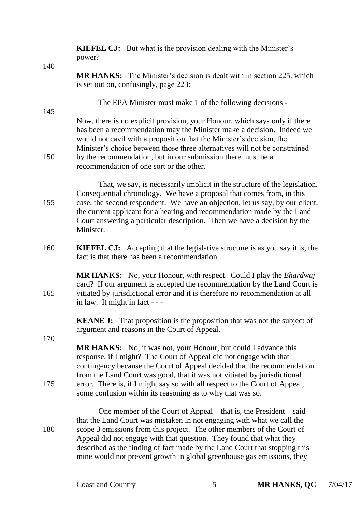**KIEFEL CJ:** But what is the provision dealing with the Minister's power?

140

145

170

**MR HANKS:** The Minister's decision is dealt with in section 225, which is set out on, confusingly, page 223:

The EPA Minister must make 1 of the following decisions -

Now, there is no explicit provision, your Honour, which says only if there has been a recommendation may the Minister make a decision. Indeed we would not cavil with a proposition that the Minister's decision, the Minister's choice between those three alternatives will not be constrained 150 by the recommendation, but in our submission there must be a recommendation of one sort or the other.

That, we say, is necessarily implicit in the structure of the legislation. Consequential chronology. We have a proposal that comes from, in this 155 case, the second respondent. We have an objection, let us say, by our client, the current applicant for a hearing and recommendation made by the Land Court answering a particular description. Then we have a decision by the Minister.

160 **KIEFEL CJ:** Accepting that the legislative structure is as you say it is, the fact is that there has been a recommendation.

**MR HANKS:** No, your Honour, with respect. Could I play the *Bhardwaj* card? If our argument is accepted the recommendation by the Land Court is 165 vitiated by jurisdictional error and it is therefore no recommendation at all in law. It might in fact - - -

> **KEANE <b>J:** That proposition is the proposition that was not the subject of argument and reasons in the Court of Appeal.

**MR HANKS:** No, it was not, your Honour, but could I advance this response, if I might? The Court of Appeal did not engage with that contingency because the Court of Appeal decided that the recommendation from the Land Court was good, that it was not vitiated by jurisdictional 175 error. There is, if I might say so with all respect to the Court of Appeal, some confusion within its reasoning as to why that was so.

One member of the Court of Appeal – that is, the President – said that the Land Court was mistaken in not engaging with what we call the 180 scope 3 emissions from this project. The other members of the Court of Appeal did not engage with that question. They found that what they described as the finding of fact made by the Land Court that stopping this mine would not prevent growth in global greenhouse gas emissions, they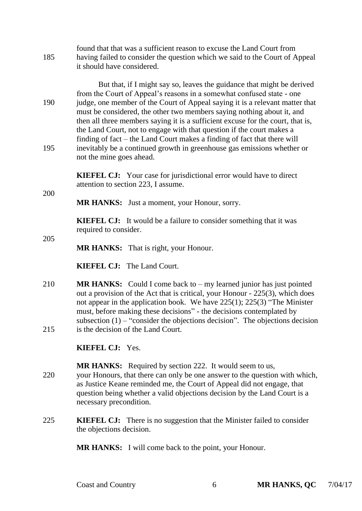| 185 | found that that was a sufficient reason to excuse the Land Court from<br>having failed to consider the question which we said to the Court of Appeal<br>it should have considered.                                                                                                                                                                                                                                                                                                                                                                |
|-----|---------------------------------------------------------------------------------------------------------------------------------------------------------------------------------------------------------------------------------------------------------------------------------------------------------------------------------------------------------------------------------------------------------------------------------------------------------------------------------------------------------------------------------------------------|
| 190 | But that, if I might say so, leaves the guidance that might be derived<br>from the Court of Appeal's reasons in a somewhat confused state - one<br>judge, one member of the Court of Appeal saying it is a relevant matter that<br>must be considered, the other two members saying nothing about it, and<br>then all three members saying it is a sufficient excuse for the court, that is,<br>the Land Court, not to engage with that question if the court makes a<br>finding of fact – the Land Court makes a finding of fact that there will |
| 195 | inevitably be a continued growth in greenhouse gas emissions whether or<br>not the mine goes ahead.                                                                                                                                                                                                                                                                                                                                                                                                                                               |
|     | <b>KIEFEL CJ:</b> Your case for jurisdictional error would have to direct<br>attention to section 223, I assume.                                                                                                                                                                                                                                                                                                                                                                                                                                  |
| 200 | <b>MR HANKS:</b> Just a moment, your Honour, sorry.                                                                                                                                                                                                                                                                                                                                                                                                                                                                                               |
| 205 | <b>KIEFEL CJ:</b> It would be a failure to consider something that it was<br>required to consider.                                                                                                                                                                                                                                                                                                                                                                                                                                                |
|     |                                                                                                                                                                                                                                                                                                                                                                                                                                                                                                                                                   |

**MR HANKS:** That is right, your Honour.

**KIEFEL CJ:** The Land Court.

210 **MR HANKS:** Could I come back to – my learned junior has just pointed out a provision of the Act that is critical, your Honour - 225(3), which does not appear in the application book. We have 225(1); 225(3) "The Minister must, before making these decisions" - the decisions contemplated by subsection  $(1)$  – "consider the objections decision". The objections decision 215 is the decision of the Land Court.

**KIEFEL CJ:** Yes.

**MR HANKS:** Required by section 222. It would seem to us, 220 your Honours, that there can only be one answer to the question with which, as Justice Keane reminded me, the Court of Appeal did not engage, that question being whether a valid objections decision by the Land Court is a necessary precondition.

225 **KIEFEL CJ:** There is no suggestion that the Minister failed to consider the objections decision.

**MR HANKS:** I will come back to the point, your Honour.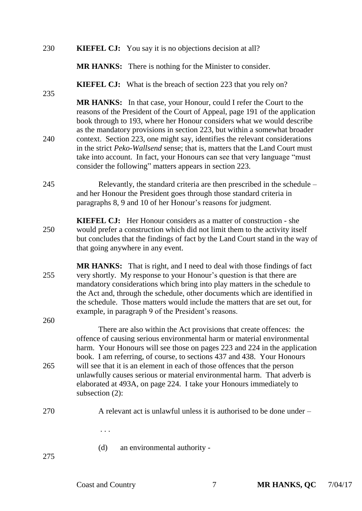| 230 |  | <b>KIEFEL CJ:</b> You say it is no objections decision at all? |
|-----|--|----------------------------------------------------------------|
|-----|--|----------------------------------------------------------------|

**MR HANKS:** There is nothing for the Minister to consider.

**KIEFEL CJ:** What is the breach of section 223 that you rely on?

**MR HANKS:** In that case, your Honour, could I refer the Court to the reasons of the President of the Court of Appeal, page 191 of the application book through to 193, where her Honour considers what we would describe as the mandatory provisions in section 223, but within a somewhat broader 240 context. Section 223, one might say, identifies the relevant considerations in the strict *Peko-Wallsend* sense; that is, matters that the Land Court must take into account. In fact, your Honours can see that very language "must consider the following" matters appears in section 223.

- 245 Relevantly, the standard criteria are then prescribed in the schedule and her Honour the President goes through those standard criteria in paragraphs 8, 9 and 10 of her Honour's reasons for judgment.
- **KIEFEL CJ:** Her Honour considers as a matter of construction she 250 would prefer a construction which did not limit them to the activity itself but concludes that the findings of fact by the Land Court stand in the way of that going anywhere in any event.
- **MR HANKS:** That is right, and I need to deal with those findings of fact 255 very shortly. My response to your Honour's question is that there are mandatory considerations which bring into play matters in the schedule to the Act and, through the schedule, other documents which are identified in the schedule. Those matters would include the matters that are set out, for example, in paragraph 9 of the President's reasons.

There are also within the Act provisions that create offences: the offence of causing serious environmental harm or material environmental harm. Your Honours will see those on pages 223 and 224 in the application book. I am referring, of course, to sections 437 and 438. Your Honours 265 will see that it is an element in each of those offences that the person unlawfully causes serious or material environmental harm. That adverb is elaborated at 493A, on page 224. I take your Honours immediately to subsection (2):

- 270 A relevant act is unlawful unless it is authorised to be done under
	- . . .
	- (d) an environmental authority -

275

260

235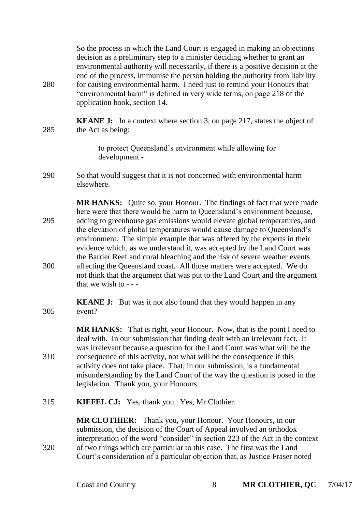So the process in which the Land Court is engaged in making an objections decision as a preliminary step to a minister deciding whether to grant an environmental authority will necessarily, if there is a positive decision at the end of the process, immunise the person holding the authority from liability 280 for causing environmental harm. I need just to remind your Honours that "environmental harm" is defined in very wide terms, on page 218 of the application book, section 14.

**KEANE J:** In a context where section 3, on page 217, states the object of 285 the Act as being:

> to protect Queensland's environment while allowing for development -

290 So that would suggest that it is not concerned with environmental harm elsewhere.

**MR HANKS:** Quite so, your Honour. The findings of fact that were made here were that there would be harm to Queensland's environment because, 295 adding to greenhouse gas emissions would elevate global temperatures, and the elevation of global temperatures would cause damage to Queensland's environment. The simple example that was offered by the experts in their evidence which, as we understand it, was accepted by the Land Court was the Barrier Reef and coral bleaching and the risk of severe weather events 300 affecting the Queensland coast. All those matters were accepted. We do not think that the argument that was put to the Land Court and the argument that we wish to  $-$ 

**KEANE J:** But was it not also found that they would happen in any 305 event?

**MR HANKS:** That is right, your Honour. Now, that is the point I need to deal with. In our submission that finding dealt with an irrelevant fact. It was irrelevant because a question for the Land Court was what will be the 310 consequence of this activity, not what will be the consequence if this activity does not take place. That, in our submission, is a fundamental misunderstanding by the Land Court of the way the question is posed in the legislation. Thank you, your Honours.

315 **KIEFEL CJ:** Yes, thank you. Yes, Mr Clothier.

**MR CLOTHIER:** Thank you, your Honour. Your Honours, in our submission, the decision of the Court of Appeal involved an orthodox interpretation of the word "consider" in section 223 of the Act in the context 320 of two things which are particular to this case. The first was the Land Court's consideration of a particular objection that, as Justice Fraser noted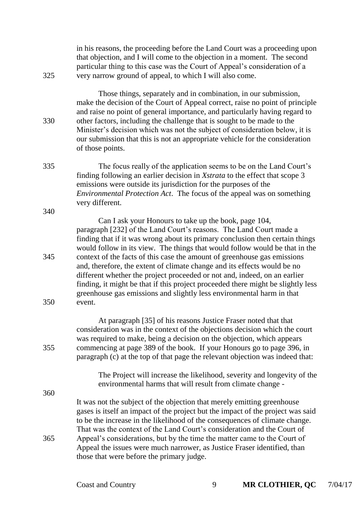| 325        | in his reasons, the proceeding before the Land Court was a proceeding upon<br>that objection, and I will come to the objection in a moment. The second<br>particular thing to this case was the Court of Appeal's consideration of a<br>very narrow ground of appeal, to which I will also come.                                                                                                                                                                                                                                                                                                                                                                                                        |
|------------|---------------------------------------------------------------------------------------------------------------------------------------------------------------------------------------------------------------------------------------------------------------------------------------------------------------------------------------------------------------------------------------------------------------------------------------------------------------------------------------------------------------------------------------------------------------------------------------------------------------------------------------------------------------------------------------------------------|
| 330        | Those things, separately and in combination, in our submission,<br>make the decision of the Court of Appeal correct, raise no point of principle<br>and raise no point of general importance, and particularly having regard to<br>other factors, including the challenge that is sought to be made to the<br>Minister's decision which was not the subject of consideration below, it is<br>our submission that this is not an appropriate vehicle for the consideration<br>of those points.                                                                                                                                                                                                           |
| 335        | The focus really of the application seems to be on the Land Court's<br>finding following an earlier decision in Xstrata to the effect that scope 3<br>emissions were outside its jurisdiction for the purposes of the<br><i>Environmental Protection Act.</i> The focus of the appeal was on something<br>very different.                                                                                                                                                                                                                                                                                                                                                                               |
| 340        |                                                                                                                                                                                                                                                                                                                                                                                                                                                                                                                                                                                                                                                                                                         |
| 345<br>350 | Can I ask your Honours to take up the book, page 104,<br>paragraph [232] of the Land Court's reasons. The Land Court made a<br>finding that if it was wrong about its primary conclusion then certain things<br>would follow in its view. The things that would follow would be that in the<br>context of the facts of this case the amount of greenhouse gas emissions<br>and, therefore, the extent of climate change and its effects would be no<br>different whether the project proceeded or not and, indeed, on an earlier<br>finding, it might be that if this project proceeded there might be slightly less<br>greenhouse gas emissions and slightly less environmental harm in that<br>event. |
| 355        | At paragraph [35] of his reasons Justice Fraser noted that that<br>consideration was in the context of the objections decision which the court<br>was required to make, being a decision on the objection, which appears<br>commencing at page 389 of the book. If your Honours go to page 396, in<br>paragraph (c) at the top of that page the relevant objection was indeed that:                                                                                                                                                                                                                                                                                                                     |
| 360        | The Project will increase the likelihood, severity and longevity of the<br>environmental harms that will result from climate change -                                                                                                                                                                                                                                                                                                                                                                                                                                                                                                                                                                   |
| 365        | It was not the subject of the objection that merely emitting greenhouse<br>gases is itself an impact of the project but the impact of the project was said<br>to be the increase in the likelihood of the consequences of climate change.<br>That was the context of the Land Court's consideration and the Court of<br>Appeal's considerations, but by the time the matter came to the Court of<br>Appeal the issues were much narrower, as Justice Fraser identified, than<br>those that were before the primary judge.                                                                                                                                                                               |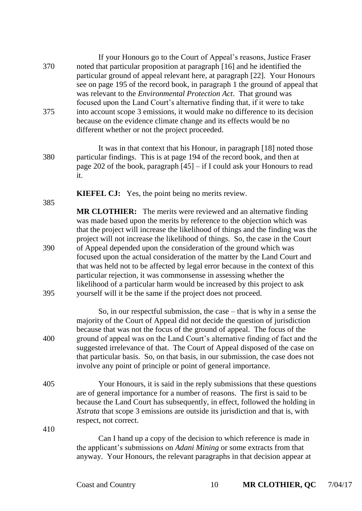|            | If your Honours go to the Court of Appeal's reasons, Justice Fraser                                                                                                                                                                                                                                                                                                                                                                                                                                                                                    |
|------------|--------------------------------------------------------------------------------------------------------------------------------------------------------------------------------------------------------------------------------------------------------------------------------------------------------------------------------------------------------------------------------------------------------------------------------------------------------------------------------------------------------------------------------------------------------|
| 370        | noted that particular proposition at paragraph [16] and he identified the<br>particular ground of appeal relevant here, at paragraph [22]. Your Honours<br>see on page 195 of the record book, in paragraph 1 the ground of appeal that<br>was relevant to the <i>Environmental Protection Act</i> . That ground was                                                                                                                                                                                                                                   |
| 375        | focused upon the Land Court's alternative finding that, if it were to take<br>into account scope 3 emissions, it would make no difference to its decision<br>because on the evidence climate change and its effects would be no<br>different whether or not the project proceeded.                                                                                                                                                                                                                                                                     |
| 380        | It was in that context that his Honour, in paragraph [18] noted those<br>particular findings. This is at page 194 of the record book, and then at<br>page 202 of the book, paragraph $[45]$ – if I could ask your Honours to read<br>it.                                                                                                                                                                                                                                                                                                               |
|            | <b>KIEFEL CJ:</b> Yes, the point being no merits review.                                                                                                                                                                                                                                                                                                                                                                                                                                                                                               |
| 385<br>390 | <b>MR CLOTHIER:</b> The merits were reviewed and an alternative finding<br>was made based upon the merits by reference to the objection which was<br>that the project will increase the likelihood of things and the finding was the<br>project will not increase the likelihood of things. So, the case in the Court<br>of Appeal depended upon the consideration of the ground which was<br>focused upon the actual consideration of the matter by the Land Court and                                                                                |
| 395        | that was held not to be affected by legal error because in the context of this<br>particular rejection, it was commonsense in assessing whether the<br>likelihood of a particular harm would be increased by this project to ask<br>yourself will it be the same if the project does not proceed.                                                                                                                                                                                                                                                      |
| 400        | So, in our respectful submission, the case $-$ that is why in a sense the<br>majority of the Court of Appeal did not decide the question of jurisdiction<br>because that was not the focus of the ground of appeal. The focus of the<br>ground of appeal was on the Land Court's alternative finding of fact and the<br>suggested irrelevance of that. The Court of Appeal disposed of the case on<br>that particular basis. So, on that basis, in our submission, the case does not<br>involve any point of principle or point of general importance. |
| 405        | Your Honours, it is said in the reply submissions that these questions<br>are of general importance for a number of reasons. The first is said to be<br>because the Land Court has subsequently, in effect, followed the holding in<br>Xstrata that scope 3 emissions are outside its jurisdiction and that is, with<br>respect, not correct.                                                                                                                                                                                                          |

410

Can I hand up a copy of the decision to which reference is made in the applicant's submissions on *Adani Mining* or some extracts from that anyway. Your Honours, the relevant paragraphs in that decision appear at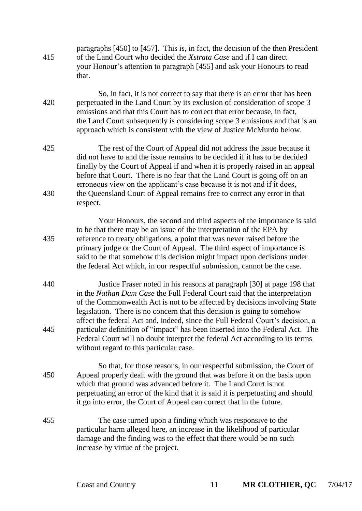- paragraphs [450] to [457]. This is, in fact, the decision of the then President 415 of the Land Court who decided the *Xstrata Case* and if I can direct your Honour's attention to paragraph [455] and ask your Honours to read that.
- So, in fact, it is not correct to say that there is an error that has been 420 perpetuated in the Land Court by its exclusion of consideration of scope 3 emissions and that this Court has to correct that error because, in fact, the Land Court subsequently is considering scope 3 emissions and that is an approach which is consistent with the view of Justice McMurdo below.
- 425 The rest of the Court of Appeal did not address the issue because it did not have to and the issue remains to be decided if it has to be decided finally by the Court of Appeal if and when it is properly raised in an appeal before that Court. There is no fear that the Land Court is going off on an erroneous view on the applicant's case because it is not and if it does, 430 the Queensland Court of Appeal remains free to correct any error in that respect.

Your Honours, the second and third aspects of the importance is said to be that there may be an issue of the interpretation of the EPA by 435 reference to treaty obligations, a point that was never raised before the primary judge or the Court of Appeal. The third aspect of importance is said to be that somehow this decision might impact upon decisions under the federal Act which, in our respectful submission, cannot be the case.

- 440 Justice Fraser noted in his reasons at paragraph [30] at page 198 that in the *Nathan Dam Case* the Full Federal Court said that the interpretation of the Commonwealth Act is not to be affected by decisions involving State legislation. There is no concern that this decision is going to somehow affect the federal Act and, indeed, since the Full Federal Court's decision, a 445 particular definition of "impact" has been inserted into the Federal Act. The Federal Court will no doubt interpret the federal Act according to its terms without regard to this particular case.
- So that, for those reasons, in our respectful submission, the Court of 450 Appeal properly dealt with the ground that was before it on the basis upon which that ground was advanced before it. The Land Court is not perpetuating an error of the kind that it is said it is perpetuating and should it go into error, the Court of Appeal can correct that in the future.
- 455 The case turned upon a finding which was responsive to the particular harm alleged here, an increase in the likelihood of particular damage and the finding was to the effect that there would be no such increase by virtue of the project.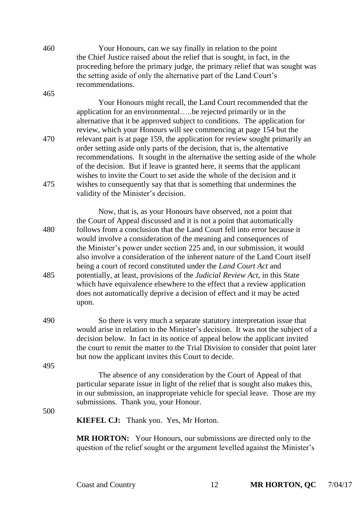460 Your Honours, can we say finally in relation to the point the Chief Justice raised about the relief that is sought, in fact, in the proceeding before the primary judge, the primary relief that was sought was the setting aside of only the alternative part of the Land Court's recommendations. 465

Your Honours might recall, the Land Court recommended that the application for an environmental…..be rejected primarily or in the alternative that it be approved subject to conditions. The application for review, which your Honours will see commencing at page 154 but the 470 relevant part is at page 159, the application for review sought primarily an order setting aside only parts of the decision, that is, the alternative recommendations. It sought in the alternative the setting aside of the whole of the decision. But if leave is granted here, it seems that the applicant wishes to invite the Court to set aside the whole of the decision and it 475 wishes to consequently say that that is something that undermines the validity of the Minister's decision.

Now, that is, as your Honours have observed, not a point that the Court of Appeal discussed and it is not a point that automatically 480 follows from a conclusion that the Land Court fell into error because it would involve a consideration of the meaning and consequences of the Minister's power under section 225 and, in our submission, it would also involve a consideration of the inherent nature of the Land Court itself being a court of record constituted under the *Land Court Act* and 485 potentially, at least, provisions of the *Judicial Review Act*, in this State which have equivalence elsewhere to the effect that a review application does not automatically deprive a decision of effect and it may be acted upon.

490 So there is very much a separate statutory interpretation issue that would arise in relation to the Minister's decision. It was not the subject of a decision below. In fact in its notice of appeal below the applicant invited the court to remit the matter to the Trial Division to consider that point later but now the applicant invites this Court to decide.

> The absence of any consideration by the Court of Appeal of that particular separate issue in light of the relief that is sought also makes this, in our submission, an inappropriate vehicle for special leave. Those are my submissions. Thank you, your Honour.

500

495

**KIEFEL CJ:** Thank you. Yes, Mr Horton.

**MR HORTON:** Your Honours, our submissions are directed only to the question of the relief sought or the argument levelled against the Minister's

Coast and Country 12 **MR HORTON, QC** 7/04/17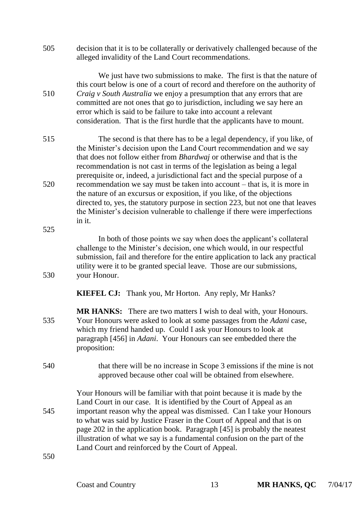505 decision that it is to be collaterally or derivatively challenged because of the alleged invalidity of the Land Court recommendations.

We just have two submissions to make. The first is that the nature of this court below is one of a court of record and therefore on the authority of 510 *Craig v South Australia* we enjoy a presumption that any errors that are committed are not ones that go to jurisdiction, including we say here an error which is said to be failure to take into account a relevant consideration. That is the first hurdle that the applicants have to mount.

515 The second is that there has to be a legal dependency, if you like, of the Minister's decision upon the Land Court recommendation and we say that does not follow either from *Bhardwaj* or otherwise and that is the recommendation is not cast in terms of the legislation as being a legal prerequisite or, indeed, a jurisdictional fact and the special purpose of a 520 recommendation we say must be taken into account – that is, it is more in the nature of an excursus or exposition, if you like, of the objections directed to, yes, the statutory purpose in section 223, but not one that leaves the Minister's decision vulnerable to challenge if there were imperfections in it.

In both of those points we say when does the applicant's collateral challenge to the Minister's decision, one which would, in our respectful submission, fail and therefore for the entire application to lack any practical utility were it to be granted special leave. Those are our submissions, 530 your Honour.

**KIEFEL CJ:** Thank you, Mr Horton. Any reply, Mr Hanks?

- **MR HANKS:** There are two matters I wish to deal with, your Honours. 535 Your Honours were asked to look at some passages from the *Adani* case, which my friend handed up. Could I ask your Honours to look at paragraph [456] in *Adani*. Your Honours can see embedded there the proposition:
- 540 that there will be no increase in Scope 3 emissions if the mine is not approved because other coal will be obtained from elsewhere.

Your Honours will be familiar with that point because it is made by the Land Court in our case. It is identified by the Court of Appeal as an 545 important reason why the appeal was dismissed. Can I take your Honours to what was said by Justice Fraser in the Court of Appeal and that is on page 202 in the application book. Paragraph [45] is probably the neatest illustration of what we say is a fundamental confusion on the part of the Land Court and reinforced by the Court of Appeal.

550

525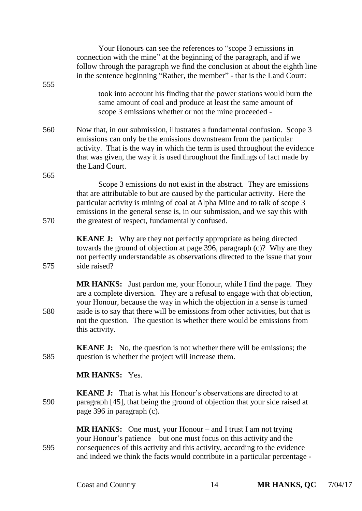|            | Your Honours can see the references to "scope 3 emissions in<br>connection with the mine" at the beginning of the paragraph, and if we<br>follow through the paragraph we find the conclusion at about the eighth line<br>in the sentence beginning "Rather, the member" - that is the Land Court:                                                                                                                   |
|------------|----------------------------------------------------------------------------------------------------------------------------------------------------------------------------------------------------------------------------------------------------------------------------------------------------------------------------------------------------------------------------------------------------------------------|
| 555        | took into account his finding that the power stations would burn the<br>same amount of coal and produce at least the same amount of<br>scope 3 emissions whether or not the mine proceeded -                                                                                                                                                                                                                         |
| 560        | Now that, in our submission, illustrates a fundamental confusion. Scope 3<br>emissions can only be the emissions downstream from the particular<br>activity. That is the way in which the term is used throughout the evidence<br>that was given, the way it is used throughout the findings of fact made by<br>the Land Court.                                                                                      |
| 565<br>570 | Scope 3 emissions do not exist in the abstract. They are emissions<br>that are attributable to but are caused by the particular activity. Here the<br>particular activity is mining of coal at Alpha Mine and to talk of scope 3<br>emissions in the general sense is, in our submission, and we say this with<br>the greatest of respect, fundamentally confused.                                                   |
| 575        | <b>KEANE J:</b> Why are they not perfectly appropriate as being directed<br>towards the ground of objection at page 396, paragraph (c)? Why are they<br>not perfectly understandable as observations directed to the issue that your<br>side raised?                                                                                                                                                                 |
| 580        | <b>MR HANKS:</b> Just pardon me, your Honour, while I find the page. They<br>are a complete diversion. They are a refusal to engage with that objection,<br>your Honour, because the way in which the objection in a sense is turned<br>aside is to say that there will be emissions from other activities, but that is<br>not the question. The question is whether there would be emissions from<br>this activity. |
| 585        | <b>KEANE J:</b> No, the question is not whether there will be emissions; the<br>question is whether the project will increase them.                                                                                                                                                                                                                                                                                  |
|            | <b>MR HANKS: Yes.</b>                                                                                                                                                                                                                                                                                                                                                                                                |
| 590        | <b>KEANE J:</b> That is what his Honour's observations are directed to at<br>paragraph [45], that being the ground of objection that your side raised at<br>page 396 in paragraph (c).                                                                                                                                                                                                                               |
| 595        | MR HANKS: One must, your Honour – and I trust I am not trying<br>your Honour's patience – but one must focus on this activity and the<br>consequences of this activity and this activity, according to the evidence<br>and indeed we think the facts would contribute in a particular percentage -                                                                                                                   |